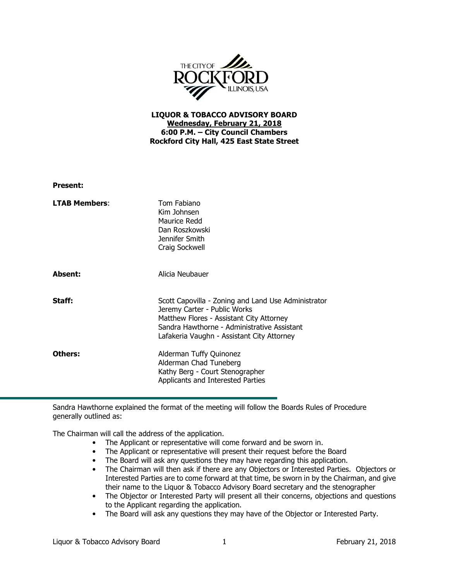

## LIQUOR & TOBACCO ADVISORY BOARD Wednesday, February 21, 2018 6:00 P.M. – City Council Chambers Rockford City Hall, 425 East State Street

| <b>Present:</b>      |                                                                                                                                                                                                                              |
|----------------------|------------------------------------------------------------------------------------------------------------------------------------------------------------------------------------------------------------------------------|
| <b>LTAB Members:</b> | Tom Fabiano<br>Kim Johnsen<br>Maurice Redd<br>Dan Roszkowski<br>Jennifer Smith<br>Craig Sockwell                                                                                                                             |
| Absent:              | Alicia Neubauer                                                                                                                                                                                                              |
| Staff:               | Scott Capovilla - Zoning and Land Use Administrator<br>Jeremy Carter - Public Works<br>Matthew Flores - Assistant City Attorney<br>Sandra Hawthorne - Administrative Assistant<br>Lafakeria Vaughn - Assistant City Attorney |
| Others:              | Alderman Tuffy Quinonez<br>Alderman Chad Tuneberg<br>Kathy Berg - Court Stenographer<br>Applicants and Interested Parties                                                                                                    |

Sandra Hawthorne explained the format of the meeting will follow the Boards Rules of Procedure generally outlined as:

The Chairman will call the address of the application.

- The Applicant or representative will come forward and be sworn in.
- The Applicant or representative will present their request before the Board
- The Board will ask any questions they may have regarding this application.
- The Chairman will then ask if there are any Objectors or Interested Parties. Objectors or Interested Parties are to come forward at that time, be sworn in by the Chairman, and give their name to the Liquor & Tobacco Advisory Board secretary and the stenographer
- The Objector or Interested Party will present all their concerns, objections and questions to the Applicant regarding the application.
- The Board will ask any questions they may have of the Objector or Interested Party.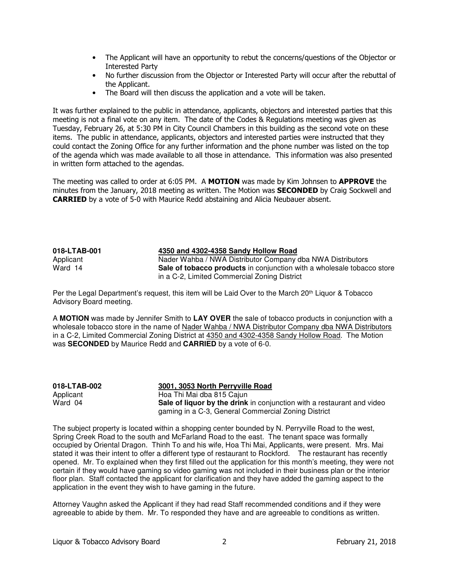- The Applicant will have an opportunity to rebut the concerns/questions of the Objector or Interested Party
- No further discussion from the Objector or Interested Party will occur after the rebuttal of the Applicant.
- The Board will then discuss the application and a vote will be taken.

It was further explained to the public in attendance, applicants, objectors and interested parties that this meeting is not a final vote on any item. The date of the Codes & Regulations meeting was given as Tuesday, February 26, at 5:30 PM in City Council Chambers in this building as the second vote on these items. The public in attendance, applicants, objectors and interested parties were instructed that they could contact the Zoning Office for any further information and the phone number was listed on the top of the agenda which was made available to all those in attendance. This information was also presented in written form attached to the agendas.

The meeting was called to order at 6:05 PM. A MOTION was made by Kim Johnsen to APPROVE the minutes from the January, 2018 meeting as written. The Motion was **SECONDED** by Craig Sockwell and CARRIED by a vote of 5-0 with Maurice Redd abstaining and Alicia Neubauer absent.

## **018-LTAB-001 4350 and 4302-4358 Sandy Hollow Road**

Applicant Mader Wahba / NWA Distributor Company dba NWA Distributors<br>
Nader **National Sale of tobacco products** in conjunction with a wholesale tobacco Sale of tobacco products in conjunction with a wholesale tobacco store in a C-2, Limited Commercial Zoning District

Per the Legal Department's request, this item will be Laid Over to the March 20<sup>th</sup> Liquor & Tobacco Advisory Board meeting.

A **MOTION** was made by Jennifer Smith to **LAY OVER** the sale of tobacco products in conjunction with a wholesale tobacco store in the name of Nader Wahba / NWA Distributor Company dba NWA Distributors in a C-2, Limited Commercial Zoning District at 4350 and 4302-4358 Sandy Hollow Road. The Motion was **SECONDED** by Maurice Redd and **CARRIED** by a vote of 6-0.

**018-LTAB-002 3001, 3053 North Perryville Road** Applicant Hoa Thi Mai dba 815 Cajun Ward 04 **Sale of liquor by the drink** in conjunction with a restaurant and video gaming in a C-3, General Commercial Zoning District

The subject property is located within a shopping center bounded by N. Perryville Road to the west, Spring Creek Road to the south and McFarland Road to the east. The tenant space was formally occupied by Oriental Dragon. Thinh To and his wife, Hoa Thi Mai, Applicants, were present. Mrs. Mai stated it was their intent to offer a different type of restaurant to Rockford. The restaurant has recently opened. Mr. To explained when they first filled out the application for this month's meeting, they were not certain if they would have gaming so video gaming was not included in their business plan or the interior floor plan. Staff contacted the applicant for clarification and they have added the gaming aspect to the application in the event they wish to have gaming in the future.

Attorney Vaughn asked the Applicant if they had read Staff recommended conditions and if they were agreeable to abide by them. Mr. To responded they have and are agreeable to conditions as written.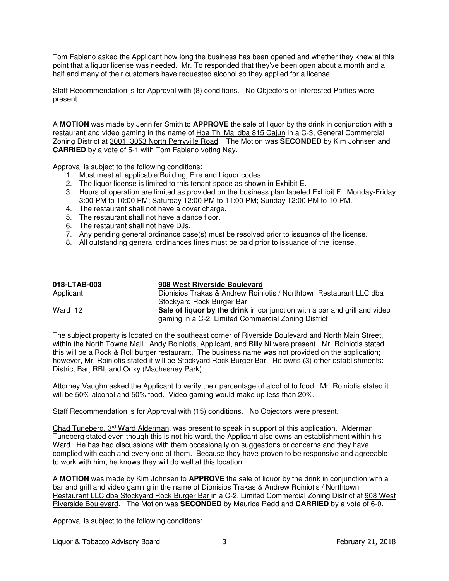Tom Fabiano asked the Applicant how long the business has been opened and whether they knew at this point that a liquor license was needed. Mr. To responded that they've been open about a month and a half and many of their customers have requested alcohol so they applied for a license.

Staff Recommendation is for Approval with (8) conditions. No Objectors or Interested Parties were present.

A **MOTION** was made by Jennifer Smith to **APPROVE** the sale of liquor by the drink in conjunction with a restaurant and video gaming in the name of Hoa Thi Mai dba 815 Cajun in a C-3, General Commercial Zoning District at 3001, 3053 North Perryville Road. The Motion was **SECONDED** by Kim Johnsen and **CARRIED** by a vote of 5-1 with Tom Fabiano voting Nay.

Approval is subject to the following conditions:

- 1. Must meet all applicable Building, Fire and Liquor codes.
- 2. The liquor license is limited to this tenant space as shown in Exhibit E.
- 3. Hours of operation are limited as provided on the business plan labeled Exhibit F. Monday-Friday 3:00 PM to 10:00 PM; Saturday 12:00 PM to 11:00 PM; Sunday 12:00 PM to 10 PM.
- 4. The restaurant shall not have a cover charge.
- 5. The restaurant shall not have a dance floor.
- 6. The restaurant shall not have DJs.
- 7. Any pending general ordinance case(s) must be resolved prior to issuance of the license.
- 8. All outstanding general ordinances fines must be paid prior to issuance of the license.

| 018-LTAB-003 | 908 West Riverside Boulevard                                              |
|--------------|---------------------------------------------------------------------------|
| Applicant    | Dionisios Trakas & Andrew Roiniotis / Northtown Restaurant LLC dba        |
|              | Stockyard Rock Burger Bar                                                 |
| Ward 12      | Sale of liquor by the drink in conjunction with a bar and grill and video |
|              | gaming in a C-2, Limited Commercial Zoning District                       |

The subject property is located on the southeast corner of Riverside Boulevard and North Main Street, within the North Towne Mall. Andy Roiniotis, Applicant, and Billy Ni were present. Mr. Roiniotis stated this will be a Rock & Roll burger restaurant. The business name was not provided on the application; however, Mr. Roiniotis stated it will be Stockyard Rock Burger Bar. He owns (3) other establishments: District Bar; RBI; and Onxy (Machesney Park).

Attorney Vaughn asked the Applicant to verify their percentage of alcohol to food. Mr. Roiniotis stated it will be 50% alcohol and 50% food. Video gaming would make up less than 20%.

Staff Recommendation is for Approval with (15) conditions. No Objectors were present.

Chad Tuneberg, 3<sup>rd</sup> Ward Alderman, was present to speak in support of this application. Alderman Tuneberg stated even though this is not his ward, the Applicant also owns an establishment within his Ward. He has had discussions with them occasionally on suggestions or concerns and they have complied with each and every one of them. Because they have proven to be responsive and agreeable to work with him, he knows they will do well at this location.

A **MOTION** was made by Kim Johnsen to **APPROVE** the sale of liquor by the drink in conjunction with a bar and grill and video gaming in the name of Dionisios Trakas & Andrew Roiniotis / Northtown Restaurant LLC dba Stockyard Rock Burger Bar in a C-2, Limited Commercial Zoning District at 908 West Riverside Boulevard. The Motion was **SECONDED** by Maurice Redd and **CARRIED** by a vote of 6-0.

Approval is subject to the following conditions: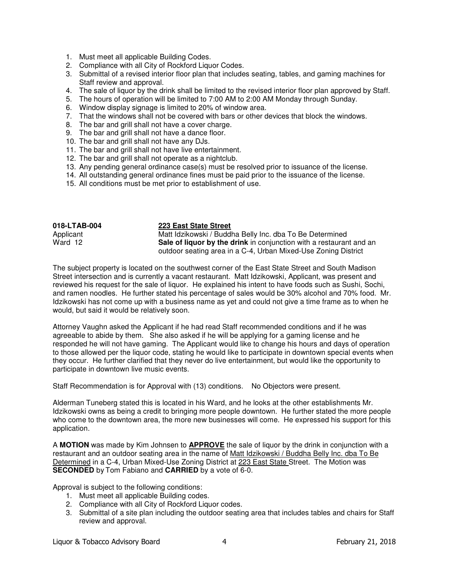- 1. Must meet all applicable Building Codes.
- 2. Compliance with all City of Rockford Liquor Codes.
- 3. Submittal of a revised interior floor plan that includes seating, tables, and gaming machines for Staff review and approval.
- 4. The sale of liquor by the drink shall be limited to the revised interior floor plan approved by Staff.
- 5. The hours of operation will be limited to 7:00 AM to 2:00 AM Monday through Sunday.
- 6. Window display signage is limited to 20% of window area.
- 7. That the windows shall not be covered with bars or other devices that block the windows.
- 8. The bar and grill shall not have a cover charge.
- 9. The bar and grill shall not have a dance floor.
- 10. The bar and grill shall not have any DJs.
- 11. The bar and grill shall not have live entertainment.
- 12. The bar and grill shall not operate as a nightclub.
- 13. Any pending general ordinance case(s) must be resolved prior to issuance of the license.
- 14. All outstanding general ordinance fines must be paid prior to the issuance of the license.
- 15. All conditions must be met prior to establishment of use.

| 018-LTAB-004 | 223 East State Street                                                      |
|--------------|----------------------------------------------------------------------------|
| Applicant    | Matt Idzikowski / Buddha Belly Inc. dba To Be Determined                   |
| Ward 12      | <b>Sale of liquor by the drink</b> in conjunction with a restaurant and an |
|              | outdoor seating area in a C-4, Urban Mixed-Use Zoning District             |

The subject property is located on the southwest corner of the East State Street and South Madison Street intersection and is currently a vacant restaurant. Matt Idzikowski, Applicant, was present and reviewed his request for the sale of liquor. He explained his intent to have foods such as Sushi, Sochi, and ramen noodles. He further stated his percentage of sales would be 30% alcohol and 70% food. Mr. Idzikowski has not come up with a business name as yet and could not give a time frame as to when he would, but said it would be relatively soon.

Attorney Vaughn asked the Applicant if he had read Staff recommended conditions and if he was agreeable to abide by them. She also asked if he will be applying for a gaming license and he responded he will not have gaming. The Applicant would like to change his hours and days of operation to those allowed per the liquor code, stating he would like to participate in downtown special events when they occur. He further clarified that they never do live entertainment, but would like the opportunity to participate in downtown live music events.

Staff Recommendation is for Approval with (13) conditions. No Objectors were present.

Alderman Tuneberg stated this is located in his Ward, and he looks at the other establishments Mr. Idzikowski owns as being a credit to bringing more people downtown. He further stated the more people who come to the downtown area, the more new businesses will come. He expressed his support for this application.

A **MOTION** was made by Kim Johnsen to **APPROVE** the sale of liquor by the drink in conjunction with a restaurant and an outdoor seating area in the name of Matt Idzikowski / Buddha Belly Inc. dba To Be Determined in a C-4, Urban Mixed-Use Zoning District at 223 East State Street. The Motion was **SECONDED** by Tom Fabiano and **CARRIED** by a vote of 6-0.

Approval is subject to the following conditions:

- 1. Must meet all applicable Building codes.
- 2. Compliance with all City of Rockford Liquor codes.
- 3. Submittal of a site plan including the outdoor seating area that includes tables and chairs for Staff review and approval.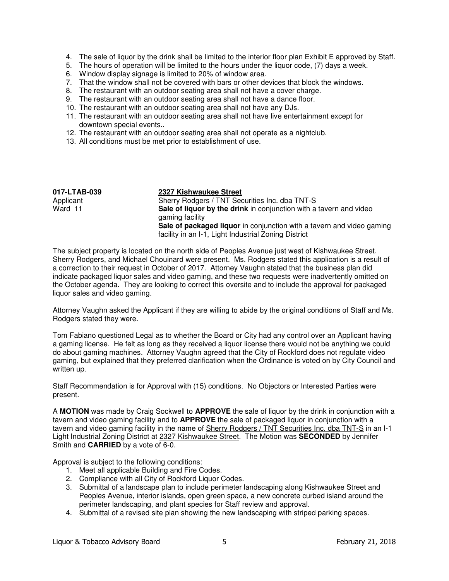- 4. The sale of liquor by the drink shall be limited to the interior floor plan Exhibit E approved by Staff.
- 5. The hours of operation will be limited to the hours under the liquor code, (7) days a week.
- 6. Window display signage is limited to 20% of window area.
- 7. That the window shall not be covered with bars or other devices that block the windows.
- 8. The restaurant with an outdoor seating area shall not have a cover charge.
- 9. The restaurant with an outdoor seating area shall not have a dance floor.
- 10. The restaurant with an outdoor seating area shall not have any DJs.
- 11. The restaurant with an outdoor seating area shall not have live entertainment except for downtown special events..
- 12. The restaurant with an outdoor seating area shall not operate as a nightclub.
- 13. All conditions must be met prior to establishment of use.

| 017-LTAB-039 | 2327 Kishwaukee Street                                                                                                        |
|--------------|-------------------------------------------------------------------------------------------------------------------------------|
| Applicant    | Sherry Rodgers / TNT Securities Inc. dba TNT-S                                                                                |
| Ward 11      | Sale of liquor by the drink in conjunction with a tavern and video<br>gaming facility                                         |
|              | Sale of packaged liquor in conjunction with a tavern and video gaming<br>facility in an I-1, Light Industrial Zoning District |

The subject property is located on the north side of Peoples Avenue just west of Kishwaukee Street. Sherry Rodgers, and Michael Chouinard were present. Ms. Rodgers stated this application is a result of a correction to their request in October of 2017. Attorney Vaughn stated that the business plan did indicate packaged liquor sales and video gaming, and these two requests were inadvertently omitted on the October agenda. They are looking to correct this oversite and to include the approval for packaged liquor sales and video gaming.

Attorney Vaughn asked the Applicant if they are willing to abide by the original conditions of Staff and Ms. Rodgers stated they were.

Tom Fabiano questioned Legal as to whether the Board or City had any control over an Applicant having a gaming license. He felt as long as they received a liquor license there would not be anything we could do about gaming machines. Attorney Vaughn agreed that the City of Rockford does not regulate video gaming, but explained that they preferred clarification when the Ordinance is voted on by City Council and written up.

Staff Recommendation is for Approval with (15) conditions. No Objectors or Interested Parties were present.

A **MOTION** was made by Craig Sockwell to **APPROVE** the sale of liquor by the drink in conjunction with a tavern and video gaming facility and to **APPROVE** the sale of packaged liquor in conjunction with a tavern and video gaming facility in the name of Sherry Rodgers / TNT Securities Inc. dba TNT-S in an I-1 Light Industrial Zoning District at 2327 Kishwaukee Street. The Motion was **SECONDED** by Jennifer Smith and **CARRIED** by a vote of 6-0.

Approval is subject to the following conditions:

- 1. Meet all applicable Building and Fire Codes.
- 2. Compliance with all City of Rockford Liquor Codes.
- 3. Submittal of a landscape plan to include perimeter landscaping along Kishwaukee Street and Peoples Avenue, interior islands, open green space, a new concrete curbed island around the perimeter landscaping, and plant species for Staff review and approval.
- 4. Submittal of a revised site plan showing the new landscaping with striped parking spaces.